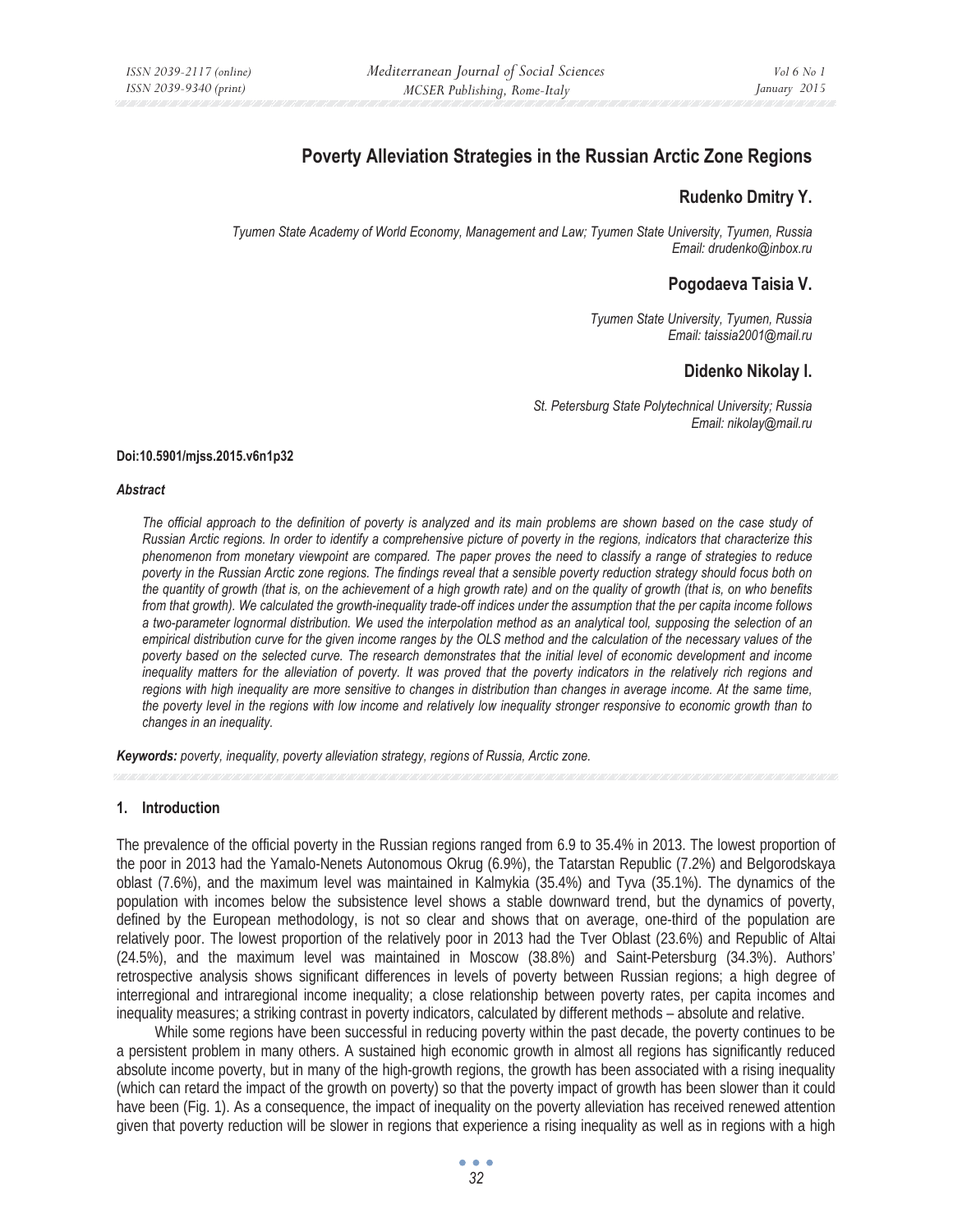# **Poverty Alleviation Strategies in the Russian Arctic Zone Regions**

# **Rudenko Dmitry Y.**

*Tyumen State Academy of World Economy, Management and Law; Tyumen State University, Tyumen, Russia Email: drudenko@inbox.ru* 

# **Pogodaeva Taisia V.**

*Tyumen State University, Tyumen, Russia Email: taissia2001@mail.ru* 

# **Didenko Nikolay I.**

*St. Petersburg State Polytechnical University; Russia Email: nikolay@mail.ru* 

#### **Doi:10.5901/mjss.2015.v6n1p32**

#### *Abstract*

The official approach to the definition of poverty is analyzed and its main problems are shown based on the case study of *Russian Arctic regions. In order to identify a comprehensive picture of poverty in the regions, indicators that characterize this phenomenon from monetary viewpoint are compared. The paper proves the need to classify a range of strategies to reduce poverty in the Russian Arctic zone regions. The findings reveal that a sensible poverty reduction strategy should focus both on the quantity of growth (that is, on the achievement of a high growth rate) and on the quality of growth (that is, on who benefits from that growth). We calculated the growth-inequality trade-off indices under the assumption that the per capita income follows a two-parameter lognormal distribution. We used the interpolation method as an analytical tool, supposing the selection of an empirical distribution curve for the given income ranges by the OLS method and the calculation of the necessary values of the poverty based on the selected curve. The research demonstrates that the initial level of economic development and income inequality matters for the alleviation of poverty. It was proved that the poverty indicators in the relatively rich regions and regions with high inequality are more sensitive to changes in distribution than changes in average income. At the same time, the poverty level in the regions with low income and relatively low inequality stronger responsive to economic growth than to changes in an inequality.* 

*Keywords: poverty, inequality, poverty alleviation strategy, regions of Russia, Arctic zone.*

#### **1. Introduction**

The prevalence of the official poverty in the Russian regions ranged from 6.9 to 35.4% in 2013. The lowest proportion of the poor in 2013 had the Yamalo-Nenets Autonomous Okrug (6.9%), the Tatarstan Republic (7.2%) and Belgorodskaya oblast (7.6%), and the maximum level was maintained in Kalmykia (35.4%) and Tyva (35.1%). The dynamics of the population with incomes below the subsistence level shows a stable downward trend, but the dynamics of poverty, defined by the European methodology, is not so clear and shows that on average, one-third of the population are relatively poor. The lowest proportion of the relatively poor in 2013 had the Tver Oblast (23.6%) and Republic of Altai (24.5%), and the maximum level was maintained in Moscow (38.8%) and Saint-Petersburg (34.3%). Authors' retrospective analysis shows significant differences in levels of poverty between Russian regions; a high degree of interregional and intraregional income inequality; a close relationship between poverty rates, per capita incomes and inequality measures; a striking contrast in poverty indicators, calculated by different methods – absolute and relative.

While some regions have been successful in reducing poverty within the past decade, the poverty continues to be a persistent problem in many others. A sustained high economic growth in almost all regions has significantly reduced absolute income poverty, but in many of the high-growth regions, the growth has been associated with a rising inequality (which can retard the impact of the growth on poverty) so that the poverty impact of growth has been slower than it could have been (Fig. 1). As a consequence, the impact of inequality on the poverty alleviation has received renewed attention given that poverty reduction will be slower in regions that experience a rising inequality as well as in regions with a high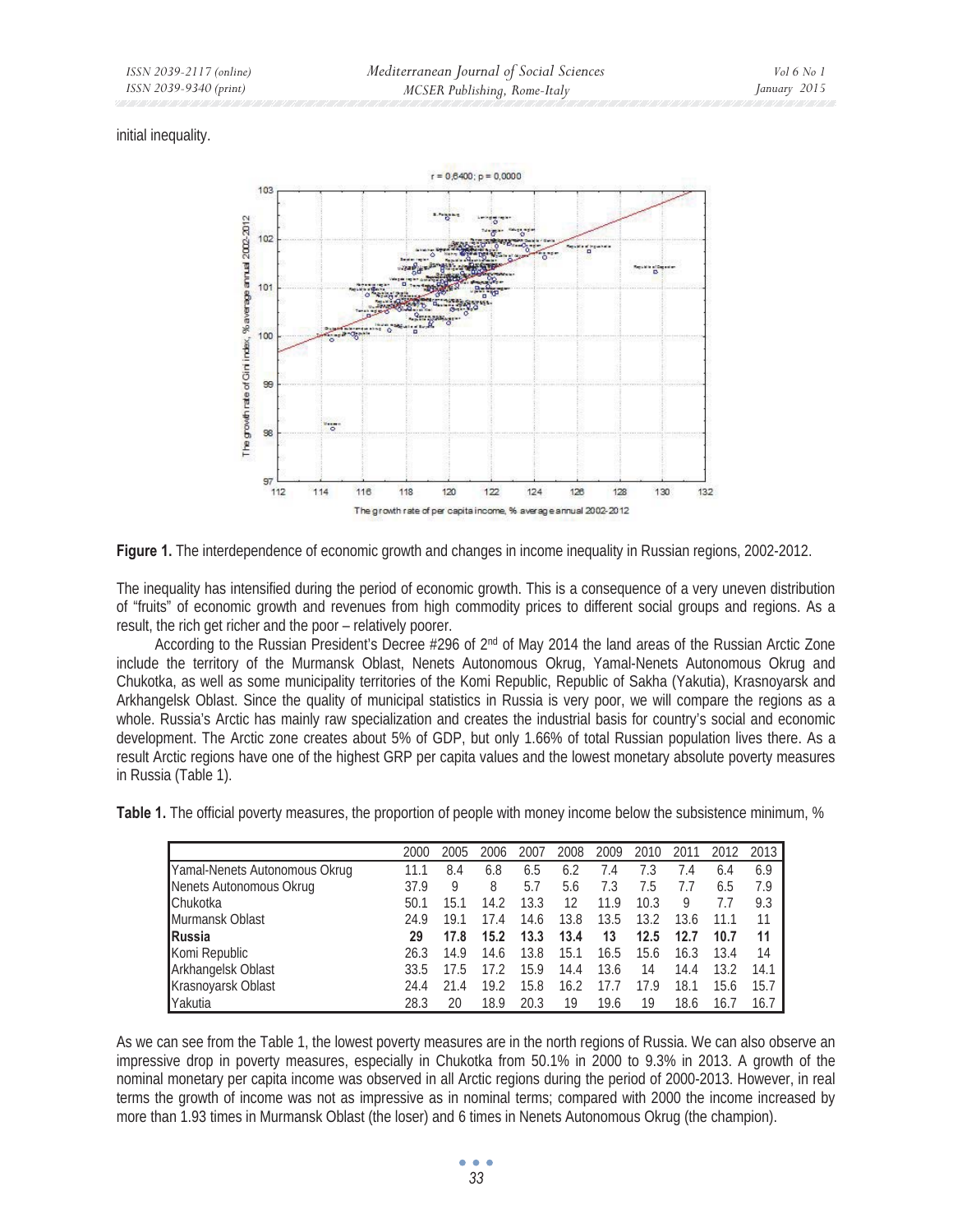initial inequality.



**Figure 1.** The interdependence of economic growth and changes in income inequality in Russian regions, 2002-2012.

The inequality has intensified during the period of economic growth. This is a consequence of a very uneven distribution of "fruits" of economic growth and revenues from high commodity prices to different social groups and regions. As a result, the rich get richer and the poor – relatively poorer.

According to the Russian President's Decree #296 of 2<sup>nd</sup> of May 2014 the land areas of the Russian Arctic Zone include the territory of the Murmansk Oblast, Nenets Autonomous Okrug, Yamal-Nenets Autonomous Okrug and Chukotka, as well as some municipality territories of the Komi Republic, Republic of Sakha (Yakutia), Krasnoyarsk and Arkhangelsk Oblast. Since the quality of municipal statistics in Russia is very poor, we will compare the regions as a whole. Russia's Arctic has mainly raw specialization and creates the industrial basis for country's social and economic development. The Arctic zone creates about 5% of GDP, but only 1.66% of total Russian population lives there. As a result Arctic regions have one of the highest GRP per capita values and the lowest monetary absolute poverty measures in Russia (Table 1).

**Table 1.** The official poverty measures, the proportion of people with money income below the subsistence minimum, %

|                               | 2000 | 2005 | 2006 | 2007 | 2008 | 2009 | 2010 | 2011 | 2012 | 2013 |
|-------------------------------|------|------|------|------|------|------|------|------|------|------|
| Yamal-Nenets Autonomous Okrug |      | 8.4  | 6.8  | 6.5  | 6.2  | 7.4  |      |      | 6.4  | 6.9  |
| Nenets Autonomous Okrug       | 37.9 | 9    | 8    | 5.7  | 5.6  | 7.3  | 7.5  |      | 6.5  | 7.9  |
| <b>Chukotka</b>               | 50.1 | 15.1 | 14.2 | 13.3 | 12   | 11.9 | 10.3 |      |      | 9.3  |
| Murmansk Oblast               | 24.9 | 19.1 | 174  | 14.6 | 13.8 | 13.5 | 13.2 | 13.6 |      |      |
| <b>I</b> Russia               | 29   | 17.8 | 15.2 | 13.3 | 13.4 | 13   | 12.5 | 12.7 | 10.7 | 11   |
| Komi Republic                 | 26.3 | 14.9 | 14.6 | 13.8 | 15.1 | 16.5 | 15.6 | 16.3 | 13.4 | 14   |
| Arkhangelsk Oblast            | 33.5 |      |      | 15.9 | 14.4 | 13.6 | 14   | 14.4 | 13.2 | 14.1 |
| Krasnoyarsk Oblast            | 24.4 | 21.4 | 19.2 | 15.8 | 16.2 |      | 179  | 18.1 | 15.6 | 15.7 |
| Yakutia                       | 28.3 | 20   | 18.9 | 20.3 | 19   | 19.6 | 19   | 18.6 | 16.7 | 16.7 |

As we can see from the Table 1, the lowest poverty measures are in the north regions of Russia. We can also observe an impressive drop in poverty measures, especially in Chukotka from 50.1% in 2000 to 9.3% in 2013. A growth of the nominal monetary per capita income was observed in all Arctic regions during the period of 2000-2013. However, in real terms the growth of income was not as impressive as in nominal terms; compared with 2000 the income increased by more than 1.93 times in Murmansk Oblast (the loser) and 6 times in Nenets Autonomous Okrug (the champion).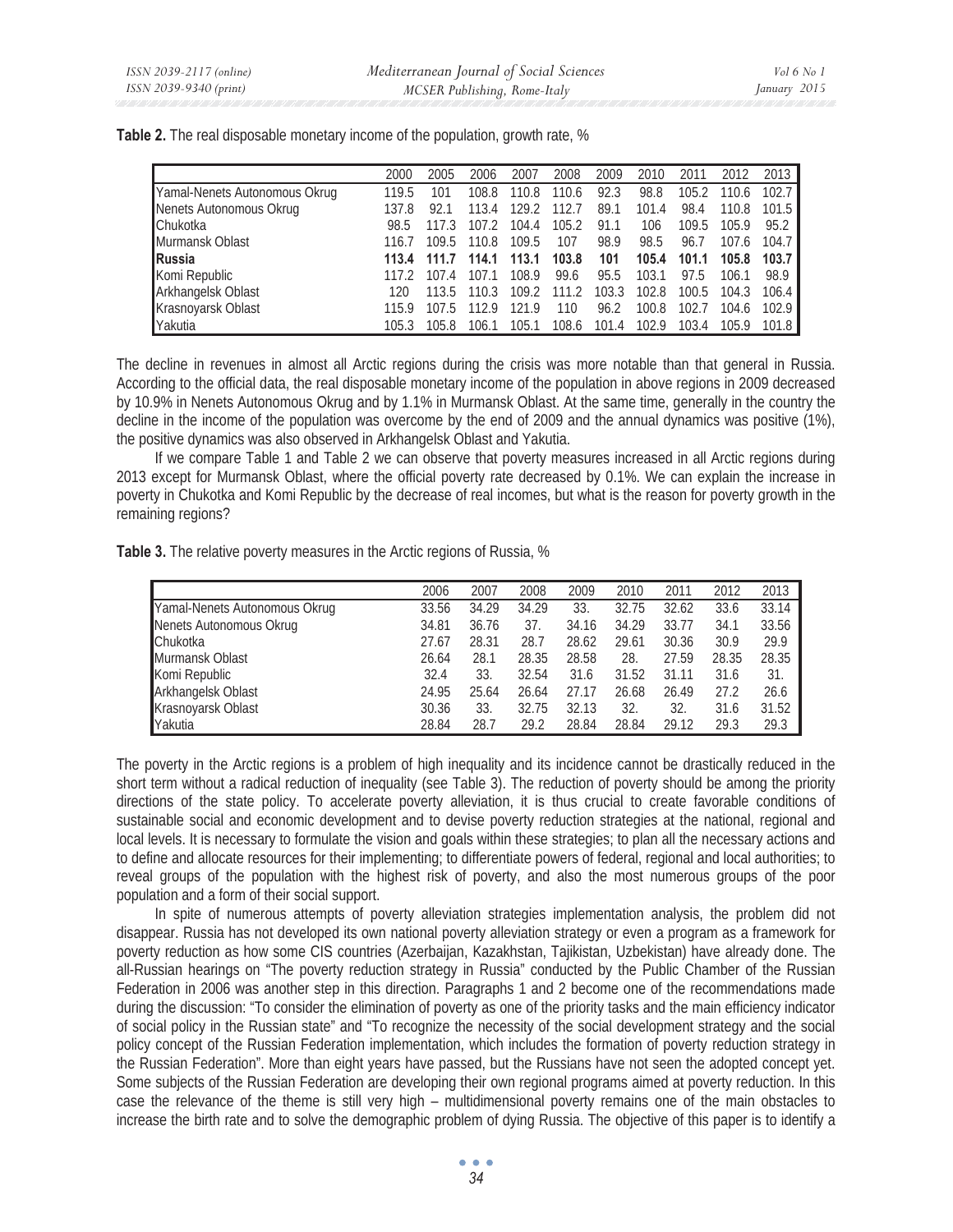|                               | 2000  | 2005  | 2006  | 2007  | 2008  | 2009  | 2010  | 2011  | 2012  | 2013  |
|-------------------------------|-------|-------|-------|-------|-------|-------|-------|-------|-------|-------|
| Yamal-Nenets Autonomous Okrug | 119.5 | 101   | 108.8 | 110.8 | 110.6 | 92.3  | 98.8  | 105.2 | 110.6 | 102.7 |
| Nenets Autonomous Okrug       | 137.8 | 92.1  | 113.4 | 1292  | 112.7 | 89.1  | 101.4 | 98.4  | 110.8 | 101.5 |
| <b>Chukotka</b>               | 98.5  |       | 107.2 | 104.4 | 105.2 | 91.1  | 106   | 109.5 | 105.9 | 95.2  |
| Murmansk Oblast               | 116 7 | 109.5 | 110.8 | 109.5 | 107   | 98.9  | 98.5  | 96.7  | 107.6 | 104.7 |
| <b>I</b> Russia               | 113.4 | 111.7 | 114.1 | 113.1 | 103.8 | 101   | 105.4 | 101.1 | 105.8 | 103.7 |
| Komi Republic                 |       | 107 4 | 107.1 | 108.9 | 99.6  | 95.5  | 103.1 | 97.5  | 106.1 | 98.9  |
| Arkhangelsk Oblast            | 120   | 113.5 | 110.3 | 109.2 | 111 2 | 103.3 | 102.8 | 100.5 | 104.3 | 106.4 |
| Krasnoyarsk Oblast            | 115.9 | 107.5 | 1129  | 121.9 | 110   | 96.2  | 100.8 | 102.7 | 104.6 | 102.9 |
| Yakutia                       | 105.3 | 105.8 | 106.1 | 105.1 | 108.6 | 101.4 | 102.9 | 103.4 | 105.9 | 101.8 |

**Table 2.** The real disposable monetary income of the population, growth rate, %

The decline in revenues in almost all Arctic regions during the crisis was more notable than that general in Russia. According to the official data, the real disposable monetary income of the population in above regions in 2009 decreased by 10.9% in Nenets Autonomous Okrug and by 1.1% in Murmansk Oblast. At the same time, generally in the country the decline in the income of the population was overcome by the end of 2009 and the annual dynamics was positive (1%), the positive dynamics was also observed in Arkhangelsk Oblast and Yakutia.

If we compare Table 1 and Table 2 we can observe that poverty measures increased in all Arctic regions during 2013 except for Murmansk Oblast, where the official poverty rate decreased by 0.1%. We can explain the increase in poverty in Chukotka and Komi Republic by the decrease of real incomes, but what is the reason for poverty growth in the remaining regions?

|  |  |  | <b>Table 3.</b> The relative poverty measures in the Arctic regions of Russia, % |
|--|--|--|----------------------------------------------------------------------------------|
|--|--|--|----------------------------------------------------------------------------------|

|                               | 2006  | 2007  | 2008  | 2009  | 2010  | 2011  | 2012  | 2013  |
|-------------------------------|-------|-------|-------|-------|-------|-------|-------|-------|
| Yamal-Nenets Autonomous Okrug | 33.56 | 34.29 | 34.29 | 33.   | 32.75 | 32.62 | 33.6  | 33.14 |
| Nenets Autonomous Okrug       | 34.81 | 36.76 | 37.   | 34.16 | 34.29 | 33.77 | 34.1  | 33.56 |
| <b>Chukotka</b>               | 27.67 | 28.31 | 28.7  | 28.62 | 29.61 | 30.36 | 30.9  | 29.9  |
| Murmansk Oblast               | 26.64 | 28.1  | 28.35 | 28.58 | 28.   | 27.59 | 28.35 | 28.35 |
| Komi Republic                 | 32.4  | 33.   | 32.54 | 31.6  | 31.52 | 31.11 | 31.6  | 31.   |
| Arkhangelsk Oblast            | 24.95 | 25.64 | 26.64 | 27.17 | 26.68 | 26.49 | 27.2  | 26.6  |
| Krasnoyarsk Oblast            | 30.36 | 33.   | 32.75 | 32.13 | 32.   | 32.   | 31.6  | 31.52 |
| Yakutia                       | 28.84 | 28.7  | 29.2  | 28.84 | 28.84 | 29.12 | 29.3  | 29.3  |

The poverty in the Arctic regions is a problem of high inequality and its incidence cannot be drastically reduced in the short term without a radical reduction of inequality (see Table 3). The reduction of poverty should be among the priority directions of the state policy. To accelerate poverty alleviation, it is thus crucial to create favorable conditions of sustainable social and economic development and to devise poverty reduction strategies at the national, regional and local levels. It is necessary to formulate the vision and goals within these strategies; to plan all the necessary actions and to define and allocate resources for their implementing; to differentiate powers of federal, regional and local authorities; to reveal groups of the population with the highest risk of poverty, and also the most numerous groups of the poor population and a form of their social support.

In spite of numerous attempts of poverty alleviation strategies implementation analysis, the problem did not disappear. Russia has not developed its own national poverty alleviation strategy or even a program as a framework for poverty reduction as how some CIS countries (Azerbaijan, Kazakhstan, Tajikistan, Uzbekistan) have already done. The all-Russian hearings on "The poverty reduction strategy in Russia" conducted by the Public Chamber of the Russian Federation in 2006 was another step in this direction. Paragraphs 1 and 2 become one of the recommendations made during the discussion: "To consider the elimination of poverty as one of the priority tasks and the main efficiency indicator of social policy in the Russian state" and "To recognize the necessity of the social development strategy and the social policy concept of the Russian Federation implementation, which includes the formation of poverty reduction strategy in the Russian Federation". More than eight years have passed, but the Russians have not seen the adopted concept yet. Some subjects of the Russian Federation are developing their own regional programs aimed at poverty reduction. In this case the relevance of the theme is still very high – multidimensional poverty remains one of the main obstacles to increase the birth rate and to solve the demographic problem of dying Russia. The objective of this paper is to identify a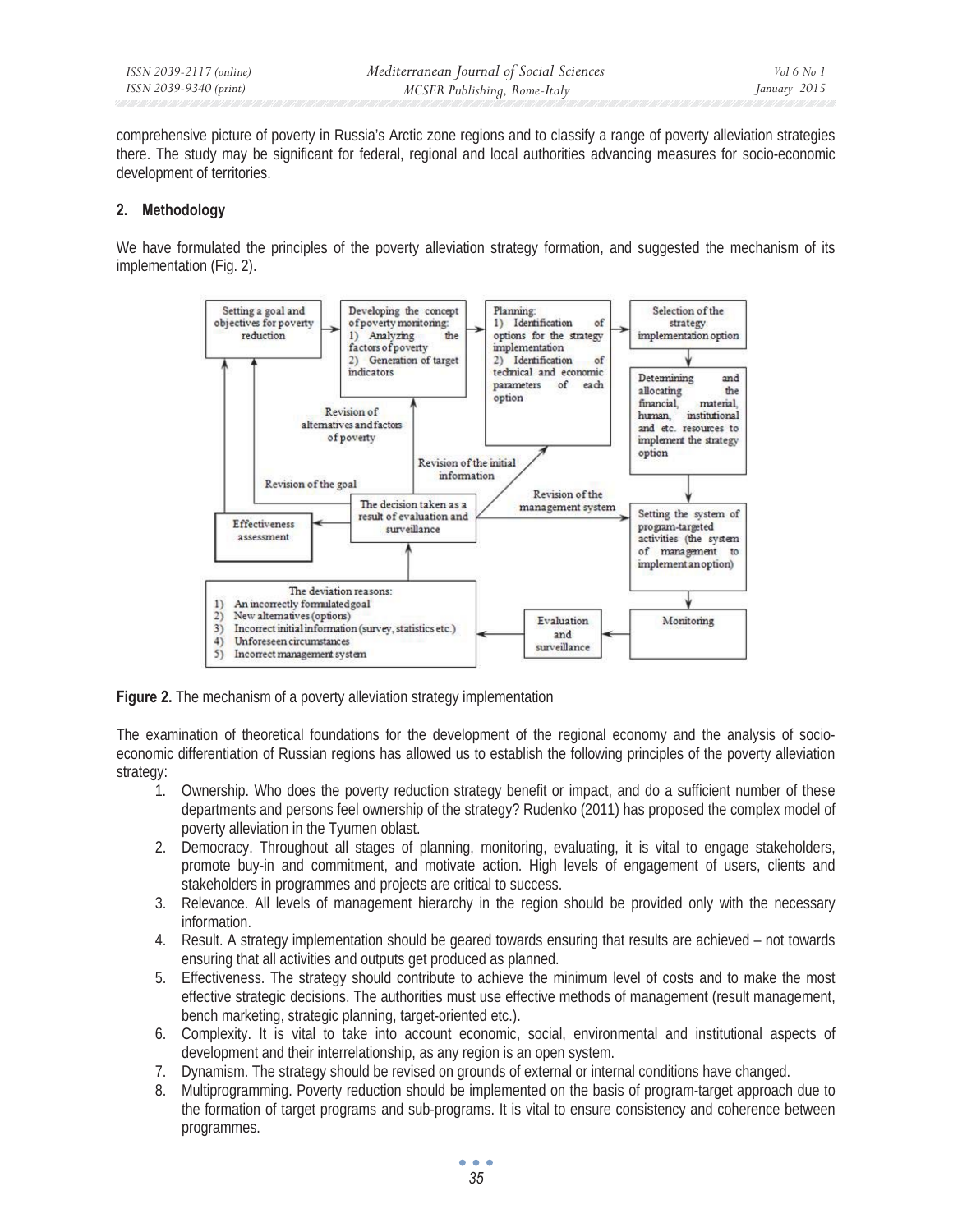comprehensive picture of poverty in Russia's Arctic zone regions and to classify a range of poverty alleviation strategies there. The study may be significant for federal, regional and local authorities advancing measures for socio-economic development of territories.

# **2. Methodology**

We have formulated the principles of the poverty alleviation strategy formation, and suggested the mechanism of its implementation (Fig. 2).



**Figure 2.** The mechanism of a poverty alleviation strategy implementation

The examination of theoretical foundations for the development of the regional economy and the analysis of socioeconomic differentiation of Russian regions has allowed us to establish the following principles of the poverty alleviation strategy:

- 1. Ownership. Who does the poverty reduction strategy benefit or impact, and do a sufficient number of these departments and persons feel ownership of the strategy? Rudenko (2011) has proposed the complex model of poverty alleviation in the Tyumen oblast.
- 2. Democracy. Throughout all stages of planning, monitoring, evaluating, it is vital to engage stakeholders, promote buy-in and commitment, and motivate action. High levels of engagement of users, clients and stakeholders in programmes and projects are critical to success.
- 3. Relevance. All levels of management hierarchy in the region should be provided only with the necessary information.
- 4. Result. A strategy implementation should be geared towards ensuring that results are achieved not towards ensuring that all activities and outputs get produced as planned.
- 5. Effectiveness. The strategy should contribute to achieve the minimum level of costs and to make the most effective strategic decisions. The authorities must use effective methods of management (result management, bench marketing, strategic planning, target-oriented etc.).
- 6. Complexity. It is vital to take into account economic, social, environmental and institutional aspects of development and their interrelationship, as any region is an open system.
- 7. Dynamism. The strategy should be revised on grounds of external or internal conditions have changed.
- 8. Multiprogramming. Poverty reduction should be implemented on the basis of program-target approach due to the formation of target programs and sub-programs. It is vital to ensure consistency and coherence between programmes.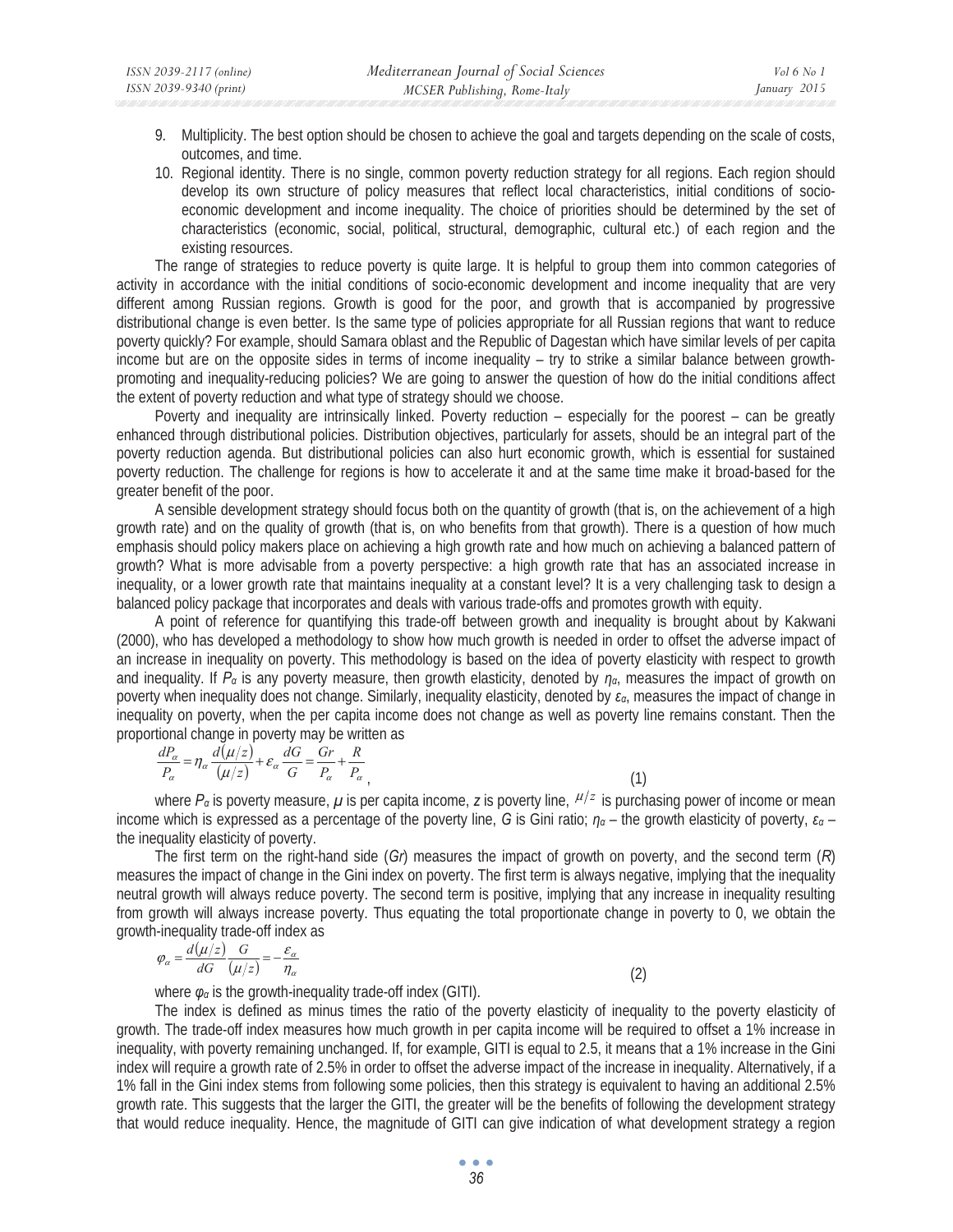- 9. Multiplicity. The best option should be chosen to achieve the goal and targets depending on the scale of costs, outcomes, and time.
- 10. Regional identity. There is no single, common poverty reduction strategy for all regions. Each region should develop its own structure of policy measures that reflect local characteristics, initial conditions of socioeconomic development and income inequality. The choice of priorities should be determined by the set of characteristics (economic, social, political, structural, demographic, cultural etc.) of each region and the existing resources.

The range of strategies to reduce poverty is quite large. It is helpful to group them into common categories of activity in accordance with the initial conditions of socio-economic development and income inequality that are very different among Russian regions. Growth is good for the poor, and growth that is accompanied by progressive distributional change is even better. Is the same type of policies appropriate for all Russian regions that want to reduce poverty quickly? For example, should Samara oblast and the Republic of Dagestan which have similar levels of per capita income but are on the opposite sides in terms of income inequality – try to strike a similar balance between growthpromoting and inequality-reducing policies? We are going to answer the question of how do the initial conditions affect the extent of poverty reduction and what type of strategy should we choose.

Poverty and inequality are intrinsically linked. Poverty reduction – especially for the poorest – can be greatly enhanced through distributional policies. Distribution objectives, particularly for assets, should be an integral part of the poverty reduction agenda. But distributional policies can also hurt economic growth, which is essential for sustained poverty reduction. The challenge for regions is how to accelerate it and at the same time make it broad-based for the greater benefit of the poor.

A sensible development strategy should focus both on the quantity of growth (that is, on the achievement of a high growth rate) and on the quality of growth (that is, on who benefits from that growth). There is a question of how much emphasis should policy makers place on achieving a high growth rate and how much on achieving a balanced pattern of growth? What is more advisable from a poverty perspective: a high growth rate that has an associated increase in inequality, or a lower growth rate that maintains inequality at a constant level? It is a very challenging task to design a balanced policy package that incorporates and deals with various trade-offs and promotes growth with equity.

A point of reference for quantifying this trade-off between growth and inequality is brought about by Kakwani (2000), who has developed a methodology to show how much growth is needed in order to offset the adverse impact of an increase in inequality on poverty. This methodology is based on the idea of poverty elasticity with respect to growth and inequality. If  $P_q$  is any poverty measure, then growth elasticity, denoted by  $\eta_q$ , measures the impact of growth on poverty when inequality does not change. Similarly, inequality elasticity, denoted by  $\varepsilon_a$ , measures the impact of change in inequality on poverty, when the per capita income does not change as well as poverty line remains constant. Then the proportional change in poverty may be written as

$$
\frac{dP_{\alpha}}{P_{\alpha}} = \eta_{\alpha} \frac{d(\mu/z)}{(\mu/z)} + \varepsilon_{\alpha} \frac{dG}{G} = \frac{Gr}{P_{\alpha}} + \frac{R}{P_{\alpha}}
$$
\n(1)

where  $P_a$  is poverty measure,  $\mu$  is per capita income, z is poverty line,  $\frac{\mu}{z}$  is purchasing power of income or mean income which is expressed as a percentage of the poverty line, *G* is Gini ratio;  $\eta_a$  – the growth elasticity of poverty,  $\varepsilon_a$  – the inequality elasticity of poverty.

The first term on the right-hand side (*Gr*) measures the impact of growth on poverty, and the second term (*R*) measures the impact of change in the Gini index on poverty. The first term is always negative, implying that the inequality neutral growth will always reduce poverty. The second term is positive, implying that any increase in inequality resulting from growth will always increase poverty. Thus equating the total proportionate change in poverty to 0, we obtain the growth-inequality trade-off index as

$$
\varphi_{\alpha} = \frac{d(\mu/z)}{dG} \frac{G}{(\mu/z)} = -\frac{\varepsilon_{\alpha}}{\eta_{\alpha}}
$$
\n(2)

where  $\varphi_{\alpha}$  is the growth-inequality trade-off index (GITI).

The index is defined as minus times the ratio of the poverty elasticity of inequality to the poverty elasticity of growth. The trade-off index measures how much growth in per capita income will be required to offset a 1% increase in inequality, with poverty remaining unchanged. If, for example, GITI is equal to 2.5, it means that a 1% increase in the Gini index will require a growth rate of 2.5% in order to offset the adverse impact of the increase in inequality. Alternatively, if a 1% fall in the Gini index stems from following some policies, then this strategy is equivalent to having an additional 2.5% growth rate. This suggests that the larger the GITI, the greater will be the benefits of following the development strategy that would reduce inequality. Hence, the magnitude of GITI can give indication of what development strategy a region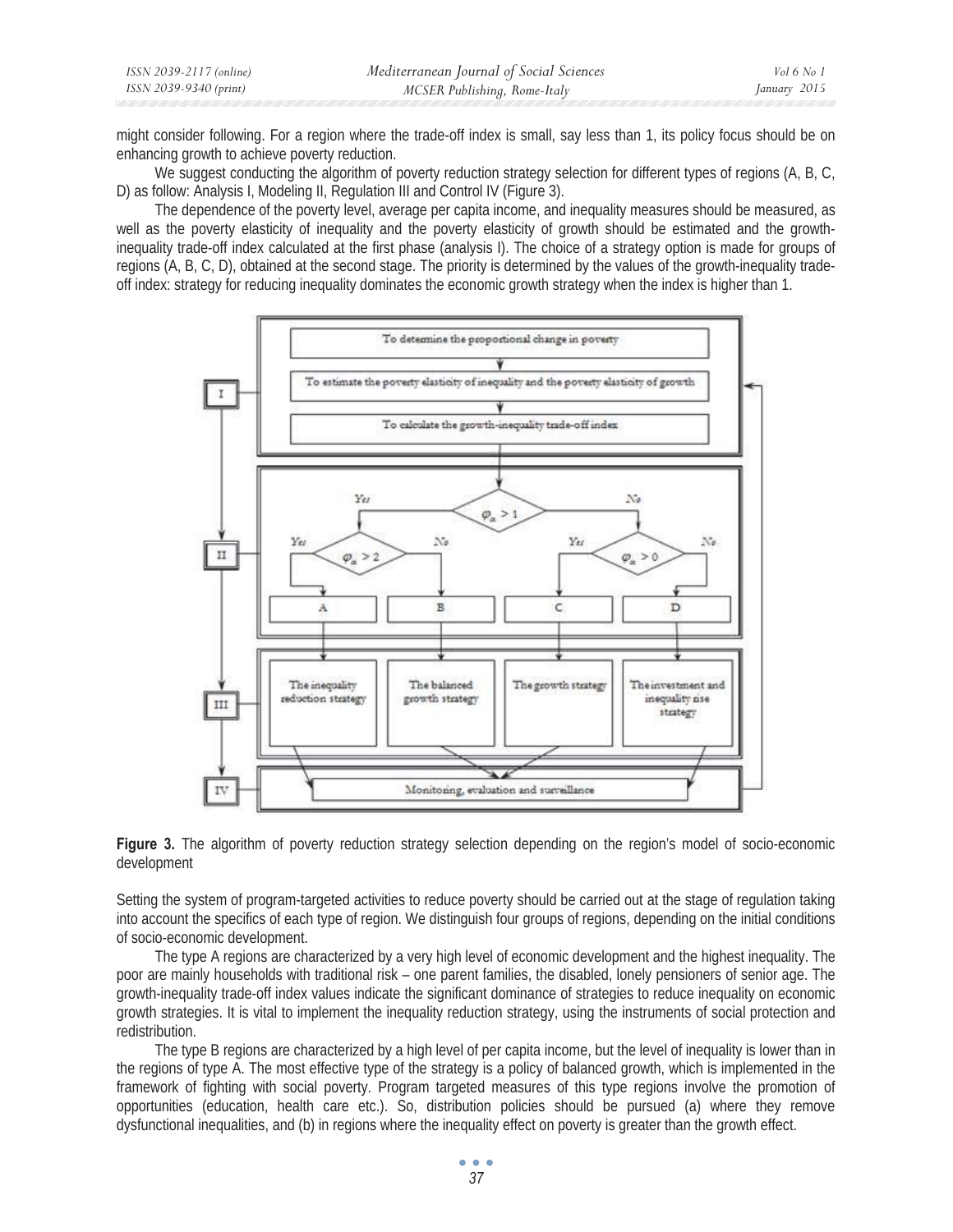| ISSN 2039-2117 (online) | Mediterranean Journal of Social Sciences | Vol 6 No 1   |
|-------------------------|------------------------------------------|--------------|
| ISSN 2039-9340 (print)  | MCSER Publishing, Rome-Italy             | January 2015 |

might consider following. For a region where the trade-off index is small, say less than 1, its policy focus should be on enhancing growth to achieve poverty reduction.

We suggest conducting the algorithm of poverty reduction strategy selection for different types of regions (A, B, C, D) as follow: Analysis I, Modeling II, Regulation III and Control IV (Figure 3).

The dependence of the poverty level, average per capita income, and inequality measures should be measured, as well as the poverty elasticity of inequality and the poverty elasticity of growth should be estimated and the growthinequality trade-off index calculated at the first phase (analysis I). The choice of a strategy option is made for groups of regions (A, B, C, D), obtained at the second stage. The priority is determined by the values of the growth-inequality tradeoff index: strategy for reducing inequality dominates the economic growth strategy when the index is higher than 1.





Setting the system of program-targeted activities to reduce poverty should be carried out at the stage of regulation taking into account the specifics of each type of region. We distinguish four groups of regions, depending on the initial conditions of socio-economic development.

The type A regions are characterized by a very high level of economic development and the highest inequality. The poor are mainly households with traditional risk – one parent families, the disabled, lonely pensioners of senior age. The growth-inequality trade-off index values indicate the significant dominance of strategies to reduce inequality on economic growth strategies. It is vital to implement the inequality reduction strategy, using the instruments of social protection and redistribution.

The type B regions are characterized by a high level of per capita income, but the level of inequality is lower than in the regions of type A. The most effective type of the strategy is a policy of balanced growth, which is implemented in the framework of fighting with social poverty. Program targeted measures of this type regions involve the promotion of opportunities (education, health care etc.). So, distribution policies should be pursued (a) where they remove dysfunctional inequalities, and (b) in regions where the inequality effect on poverty is greater than the growth effect.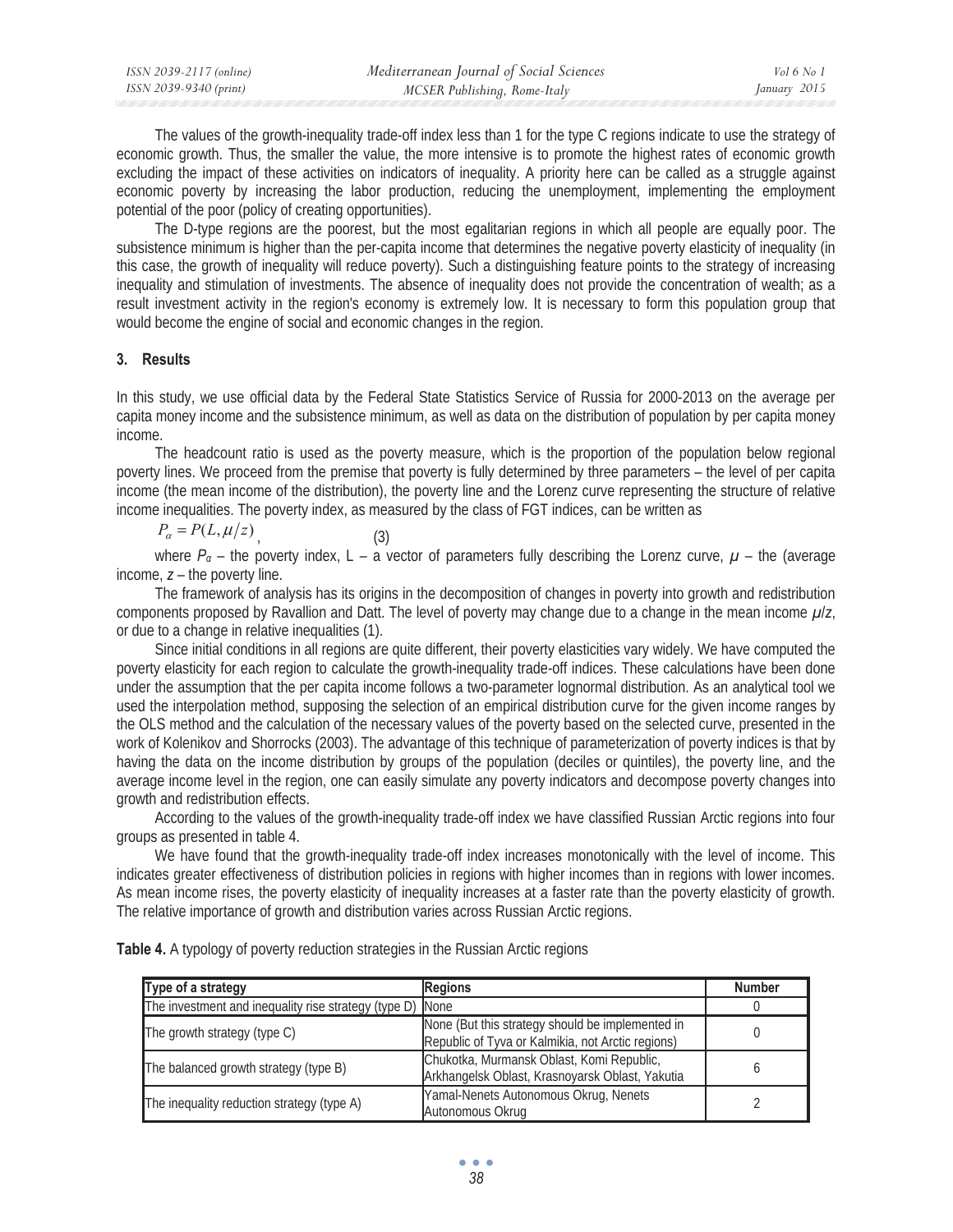| ISSN 2039-2117 (online) | Mediterranean Journal of Social Sciences | $Vol 6$ No 1 |
|-------------------------|------------------------------------------|--------------|
| ISSN 2039-9340 (print)  | MCSER Publishing, Rome-Italy             | January 2015 |

The values of the growth-inequality trade-off index less than 1 for the type C regions indicate to use the strategy of economic growth. Thus, the smaller the value, the more intensive is to promote the highest rates of economic growth excluding the impact of these activities on indicators of inequality. A priority here can be called as a struggle against economic poverty by increasing the labor production, reducing the unemployment, implementing the employment potential of the poor (policy of creating opportunities).

The D-type regions are the poorest, but the most egalitarian regions in which all people are equally poor. The subsistence minimum is higher than the per-capita income that determines the negative poverty elasticity of inequality (in this case, the growth of inequality will reduce poverty). Such a distinguishing feature points to the strategy of increasing inequality and stimulation of investments. The absence of inequality does not provide the concentration of wealth; as a result investment activity in the region's economy is extremely low. It is necessary to form this population group that would become the engine of social and economic changes in the region.

## **3. Results**

In this study, we use official data by the Federal State Statistics Service of Russia for 2000-2013 on the average per capita money income and the subsistence minimum, as well as data on the distribution of population by per capita money income.

The headcount ratio is used as the poverty measure, which is the proportion of the population below regional poverty lines. We proceed from the premise that poverty is fully determined by three parameters – the level of per capita income (the mean income of the distribution), the poverty line and the Lorenz curve representing the structure of relative income inequalities. The poverty index, as measured by the class of FGT indices, can be written as

 $P_{\alpha} = P(L, \mu/z)$ 

where  $P_q$  – the poverty index, L – a vector of parameters fully describing the Lorenz curve,  $q$  – the (average income, *z* – the poverty line.

 $(3)$ 

The framework of analysis has its origins in the decomposition of changes in poverty into growth and redistribution components proposed by Ravallion and Datt. The level of poverty may change due to a change in the mean income *ȝ*/*z*, or due to a change in relative inequalities (1).

Since initial conditions in all regions are quite different, their poverty elasticities vary widely. We have computed the poverty elasticity for each region to calculate the growth-inequality trade-off indices. These calculations have been done under the assumption that the per capita income follows a two-parameter lognormal distribution. As an analytical tool we used the interpolation method, supposing the selection of an empirical distribution curve for the given income ranges by the OLS method and the calculation of the necessary values of the poverty based on the selected curve, presented in the work of Kolenikov and Shorrocks (2003). The advantage of this technique of parameterization of poverty indices is that by having the data on the income distribution by groups of the population (deciles or quintiles), the poverty line, and the average income level in the region, one can easily simulate any poverty indicators and decompose poverty changes into growth and redistribution effects.

According to the values of the growth-inequality trade-off index we have classified Russian Arctic regions into four groups as presented in table 4.

We have found that the growth-inequality trade-off index increases monotonically with the level of income. This indicates greater effectiveness of distribution policies in regions with higher incomes than in regions with lower incomes. As mean income rises, the poverty elasticity of inequality increases at a faster rate than the poverty elasticity of growth. The relative importance of growth and distribution varies across Russian Arctic regions.

| Type of a strategy                                        | <b>Regions</b>                                                                                        | <b>Number</b> |
|-----------------------------------------------------------|-------------------------------------------------------------------------------------------------------|---------------|
| The investment and inequality rise strategy (type D) None |                                                                                                       |               |
| The growth strategy (type C)                              | None (But this strategy should be implemented in<br>Republic of Tyva or Kalmikia, not Arctic regions) |               |
| The balanced growth strategy (type B)                     | Chukotka, Murmansk Oblast, Komi Republic,<br>Arkhangelsk Oblast, Krasnoyarsk Oblast, Yakutia          |               |
| The inequality reduction strategy (type A)                | Yamal-Nenets Autonomous Okrug, Nenets<br>Autonomous Okrug                                             |               |

**Table 4.** A typology of poverty reduction strategies in the Russian Arctic regions